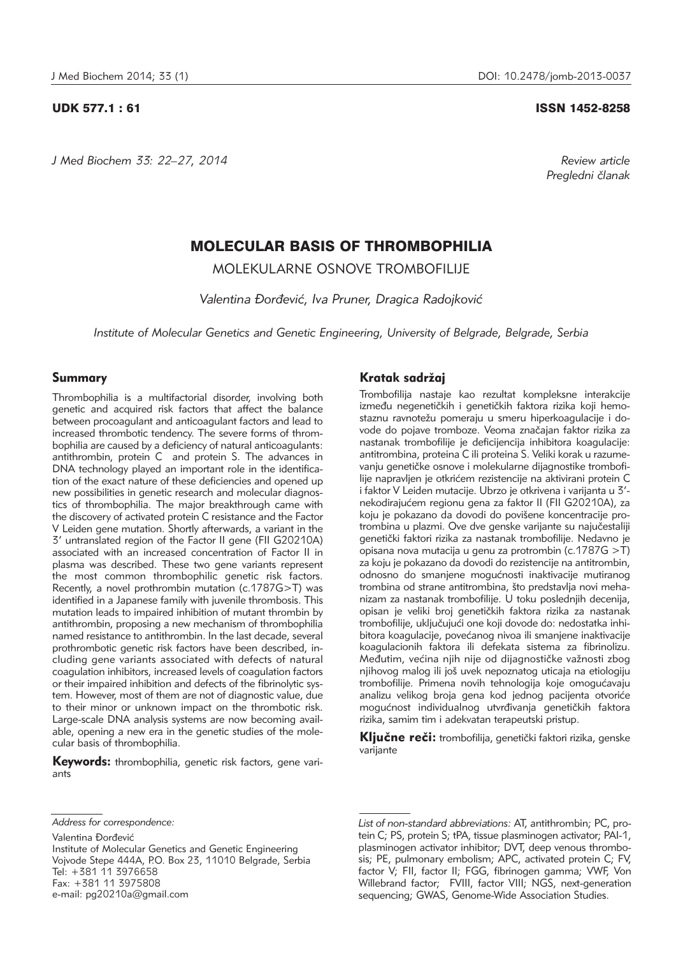*J Med Biochem 33: 22–27, 2014 Review article*

#### UDK 577.1 : 61 ISSN 1452-8258

*Pregledni ~lanak*

# MOLECULAR BASIS OF THROMBOPHILIA

MOLEKULARNE OSNOVE TROMBOFILIJE

*Valentina \or|evi}, Iva Pruner, Dragica Radojkovi}*

*Institute of Molecular Genetics and Genetic Engineering, University of Belgrade, Belgrade, Serbia*

# Summary

Thrombophilia is a multifactorial disorder, involving both genetic and acquired risk factors that affect the balance between procoagulant and anticoagulant factors and lead to increased thrombotic tendency. The severe forms of thrombophilia are caused by a deficiency of natural anticoagulants: antithrombin, protein C and protein S. The advances in DNA technology played an important role in the identification of the exact nature of these deficiencies and opened up new possibilities in genetic research and molecular diagnostics of thrombophilia. The major breakthrough came with the discovery of activated protein C resistance and the Factor V Leiden gene mutation. Shortly afterwards, a variant in the 3' untranslated region of the Factor II gene (FII G20210A) associated with an increased concentration of Factor II in plasma was described. These two gene variants represent the most common thrombophilic genetic risk factors. Recently, a novel prothrombin mutation (c.1787G>T) was identified in a Japanese family with juvenile thrombosis. This mutation leads to impaired inhibition of mutant thrombin by antithrombin, proposing a new mechanism of thrombophilia named resistance to antithrombin. In the last decade, several prothrombotic genetic risk factors have been described, including gene variants associated with defects of natural coagulation inhibitors, increased levels of coagulation factors or their impaired inhibition and defects of the fibrinolytic system. However, most of them are not of diagnostic value, due to their minor or unknown impact on the thrombotic risk. Large-scale DNA analysis systems are now becoming available, opening a new era in the genetic studies of the molecular basis of thrombophilia.

**Keywords:** thrombophilia, genetic risk factors, gene variants

Valentina Đorđević

# Kratak sadržai

Trombofilija nastaje kao rezultat kompleksne interakcije između negenetičkih i genetičkih faktora rizika koji hemostaznu ravnotežu pomeraju u smeru hiperkoagulacije i dovode do pojave tromboze. Veoma značajan faktor rizika za nastanak trombofilije je deficijencija inhibitora koagulacije: antitrombina, proteina C ili proteina S. Veliki korak u razumevanju genetičke osnove i molekularne dijagnostike trombofilije napravljen je otkrićem rezistencije na aktivirani protein C i faktor V Leiden mutacije. Ubrzo je otkrivena i varijanta u 3' nekodirajućem regionu gena za faktor II (FII G20210A), za koju je pokazano da dovodi do povišene koncentracije protrombina u plazmi. Ove dve genske varijante su najučestaliji genetički faktori rizika za nastanak trombofilije. Nedavno je opisana nova mutacija u genu za protrombin (c.1787G >T) za koju je pokazano da dovodi do rezistencije na antitrombin, odnosno do smanjene mogućnosti inaktivacije mutiranog trombina od strane antitrombina, što predstavlja novi mehanizam za nastanak trombofilije. U toku poslednjih decenija, opisan je veliki broj genetičkih faktora rizika za nastanak trombofilije, uključujući one koji dovode do: nedostatka inhibitora koagulacije, povećanog nivoa ili smanjene inaktivacije koagulacionih faktora ili defekata sistema za fibrinolizu. Međutim, većina njih nije od dijagnostičke važnosti zbog njihovog malog ili još uvek nepoznatog uticaja na etiologiju trombofilije. Primena novih tehnologija koje omogućavaju analizu velikog broja gena kod jednog pacijenta otvoriće mogućnost individualnog utvrđivanja genetičkih faktora rizika, samim tim i adekvatan terapeutski pristup.

Ključne reči: trombofilija, genetički faktori rizika, genske varijante

*Address for correspondence:*

Institute of Molecular Genetics and Genetic Engineering Vojvode Stepe 444A, P.O. Box 23, 11010 Belgrade, Serbia Tel: +381 11 3976658 Fax: +381 11 3975808 e-mail: pg20210a@gmail.com

*List of non-standard abbreviations:* AT, antithrombin; PC, protein C; PS, protein S; tPA, tissue plasminogen activator; PAI-1, plasminogen activator inhibitor; DVT, deep venous thrombosis; PE, pulmonary embolism; APC, activated protein C; FV, factor V; FII, factor II; FGG, fibrinogen gamma; VWF, Von Willebrand factor; FVIII, factor VIII; NGS, next-generation sequencing; GWAS, Genome-Wide Association Studies.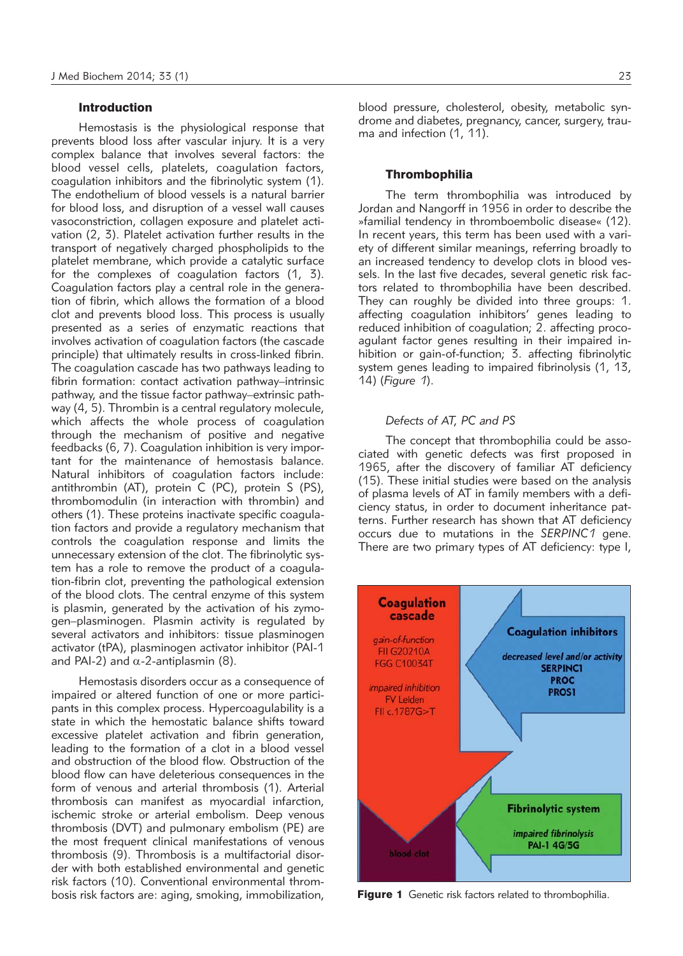# Introduction

Hemostasis is the physiological response that prevents blood loss after vascular injury. It is a very complex balance that involves several factors: the blood vessel cells, platelets, coagulation factors, coagulation inhibitors and the fibrinolytic system (1). The endothelium of blood vessels is a natural barrier for blood loss, and disruption of a vessel wall causes vasoconstriction, collagen exposure and platelet activation (2, 3). Platelet activation further results in the transport of negatively charged phospholipids to the platelet membrane, which provide a catalytic surface for the complexes of coagulation factors (1, 3). Coagulation factors play a central role in the generation of fibrin, which allows the formation of a blood clot and prevents blood loss. This process is usually presented as a series of enzymatic reactions that involves activation of coagulation factors (the cascade principle) that ultimately results in cross-linked fibrin. The coagulation cascade has two pathways leading to fibrin formation: contact activation pathway–intrinsic pathway, and the tissue factor pathway–extrinsic pathway (4, 5). Thrombin is a central regulatory molecule, which affects the whole process of coagulation through the mechanism of positive and negative feedbacks (6, 7). Coagulation inhibition is very important for the maintenance of hemostasis balance. Natural inhibitors of coagulation factors include: antithrombin (AT), protein C (PC), protein S (PS), thrombomodulin (in interaction with thrombin) and others (1). These proteins inactivate specific coagulation factors and provide a regulatory mechanism that controls the coagulation response and limits the unnecessary extension of the clot. The fibrinolytic system has a role to remove the product of a coagulation-fibrin clot, preventing the pathological extension of the blood clots. The central enzyme of this system is plasmin, generated by the activation of his zymogen–plasminogen. Plasmin activity is regulated by several activators and inhibitors: tissue plasminogen activator (tPA), plasminogen activator inhibitor (PAI-1 and PAI-2) and  $\alpha$ -2-antiplasmin (8).

Hemostasis disorders occur as a consequence of impaired or altered function of one or more participants in this complex process. Hypercoagulability is a state in which the hemostatic balance shifts toward excessive platelet activation and fibrin generation, leading to the formation of a clot in a blood vessel and obstruction of the blood flow. Obstruction of the blood flow can have deleterious consequences in the form of venous and arterial thrombosis (1). Arterial thrombosis can manifest as myocardial infarction, ischemic stroke or arterial embolism. Deep venous thrombosis (DVT) and pulmonary embolism (PE) are the most frequent clinical manifestations of venous thrombosis (9). Thrombosis is a multifactorial disorder with both established environmental and genetic risk factors (10). Conventional environmental thrombosis risk factors are: aging, smoking, immobilization,

blood pressure, cholesterol, obesity, metabolic syndrome and diabetes, pregnancy, cancer, surgery, trauma and infection (1, 11).

# **Thrombophilia**

The term thrombophilia was introduced by Jordan and Nangorff in 1956 in order to describe the »familial tendency in thromboembolic disease« (12). In recent years, this term has been used with a variety of different similar meanings, referring broadly to an increased tendency to develop clots in blood vessels. In the last five decades, several genetic risk factors related to thrombophilia have been described. They can roughly be divided into three groups: 1. affecting coagulation inhibitors' genes leading to reduced inhibition of coagulation; 2. affecting procoagulant factor genes resulting in their impaired inhibition or gain-of-function; 3. affecting fibrinolytic system genes leading to impaired fibrinolysis (1, 13, 14) (*Figure 1*).

# *Defects of AT, PC and PS*

The concept that thrombophilia could be associated with genetic defects was first proposed in 1965, after the discovery of familiar AT deficiency (15). These initial studies were based on the analysis of plasma levels of AT in family members with a deficiency status, in order to document inheritance patterns. Further research has shown that AT deficiency occurs due to mutations in the *SERPINC1* gene. There are two primary types of AT deficiency: type I,



Figure 1 Genetic risk factors related to thrombophilia.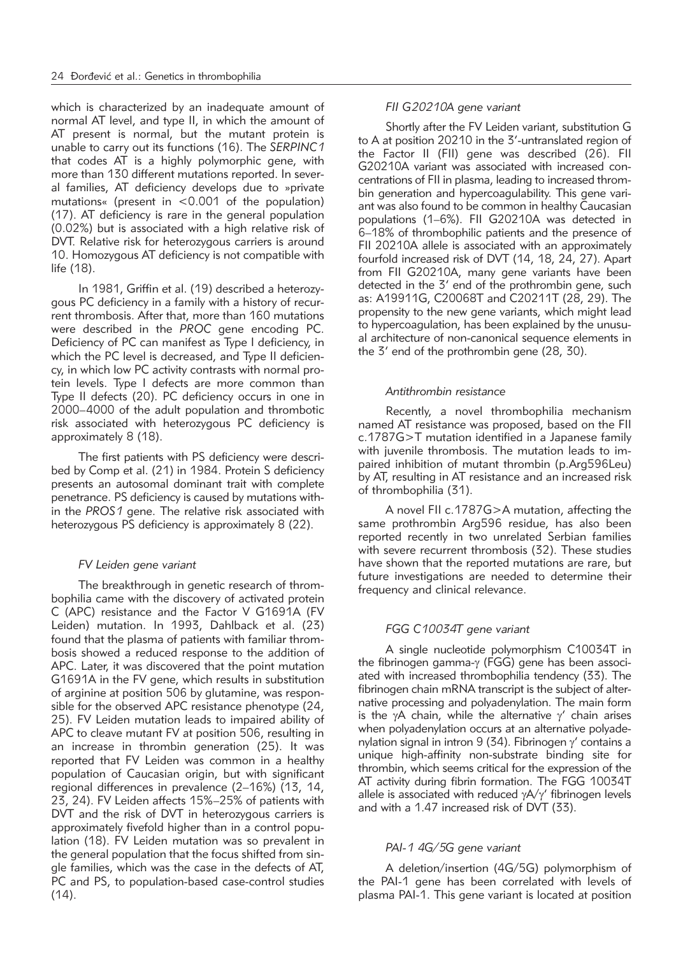which is characterized by an inadequate amount of normal AT level, and type II, in which the amount of AT present is normal, but the mutant protein is unable to carry out its functions (16). The *SERPINC1* that codes AT is a highly polymorphic gene, with more than 130 different mutations reported. In several families. AT deficiency develops due to »private mutations« (present in <0.001 of the population) (17). AT deficiency is rare in the general population (0.02%) but is associated with a high relative risk of DVT. Relative risk for heterozygous carriers is around 10. Homozygous AT deficiency is not compatible with life (18).

In 1981, Griffin et al. (19) described a heterozygous PC deficiency in a family with a history of recurrent thrombosis. After that, more than 160 mutations were described in the *PROC* gene encoding PC. Deficiency of PC can manifest as Type I deficiency, in which the PC level is decreased, and Type II deficiency, in which low PC activity contrasts with normal protein levels. Type I defects are more common than Type II defects (20). PC deficiency occurs in one in 2000–4000 of the adult population and thrombotic risk associated with heterozygous PC deficiency is approximately 8 (18).

The first patients with PS deficiency were described by Comp et al. (21) in 1984. Protein S deficiency presents an autosomal dominant trait with complete penetrance. PS deficiency is caused by mutations within the *PROS1* gene. The relative risk associated with heterozygous PS deficiency is approximately 8 (22).

# *FV Leiden gene variant*

The breakthrough in genetic research of thrombophilia came with the discovery of activated protein C (APC) resistance and the Factor V G1691A (FV Leiden) mutation. In 1993, Dahlback et al. (23) found that the plasma of patients with familiar thrombosis showed a reduced response to the addition of APC. Later, it was discovered that the point mutation G1691A in the FV gene, which results in substitution of arginine at position 506 by glutamine, was responsible for the observed APC resistance phenotype (24, 25). FV Leiden mutation leads to impaired ability of APC to cleave mutant FV at position 506, resulting in an increase in thrombin generation (25). It was reported that FV Leiden was common in a healthy population of Caucasian origin, but with significant regional differences in prevalence (2–16%) (13, 14, 23, 24). FV Leiden affects 15%–25% of patients with DVT and the risk of DVT in heterozygous carriers is approximately fivefold higher than in a control population (18). FV Leiden mutation was so prevalent in the general population that the focus shifted from single families, which was the case in the defects of AT, PC and PS, to population-based case-control studies (14).

#### *FII G20210A gene variant*

Shortly after the FV Leiden variant, substitution G to A at position 20210 in the 3'-untranslated region of the Factor II (FII) gene was described (26). FII G20210A variant was associated with increased concentrations of FII in plasma, leading to increased thrombin generation and hypercoagulability. This gene variant was also found to be common in healthy Caucasian po pulations (1–6%). FII G20210A was detected in 6–18% of thrombophilic patients and the presence of FII 20210A allele is associated with an approximately fourfold increased risk of DVT (14, 18, 24, 27). Apart from FII G20210A, many gene variants have been detected in the 3' end of the prothrombin gene, such as: A19911G, C20068T and C20211T (28, 29). The propensity to the new gene variants, which might lead to hypercoagulation, has been explained by the unusual architecture of non-canonical sequence elements in the 3' end of the prothrombin gene (28, 30).

#### *Antithrombin resistance*

Recently, a novel thrombophilia mechanism named AT resistance was proposed, based on the FII c.1787G>T mutation identified in a Japanese family with juvenile thrombosis. The mutation leads to impaired inhibition of mutant thrombin (p.Arg596Leu) by AT, resulting in AT resistance and an increased risk of thrombophilia (31).

A novel FII c.1787G>A mutation, affecting the same prothrombin Arg596 residue, has also been reported recently in two unrelated Serbian families with severe recurrent thrombosis (32). These studies have shown that the reported mutations are rare, but future investigations are needed to determine their frequency and clinical relevance.

## *FGG C10034T gene variant*

A single nucleotide polymorphism C10034T in the fibrinogen gamma-y (FGG) gene has been associated with increased thrombophilia tendency (33). The fibrinogen chain mRNA transcript is the subject of alternative processing and polyadenylation. The main form is the  $\gamma$ A chain, while the alternative  $\gamma'$  chain arises when polyadenylation occurs at an alternative polyadeny lation signal in intron 9 (34). Fibrinogen  $\gamma'$  contains a unique high-affinity non-substrate binding site for thrombin, which seems critical for the expression of the AT activity during fibrin formation. The FGG 10034T allele is associated with reduced  $\gamma A/\gamma'$  fibrinogen levels and with a 1.47 increased risk of DVT (33).

#### *PAI-1 4G/5G gene variant*

A deletion/insertion (4G/5G) polymorphism of the PAI-1 gene has been correlated with levels of plasma PAI-1. This gene variant is located at position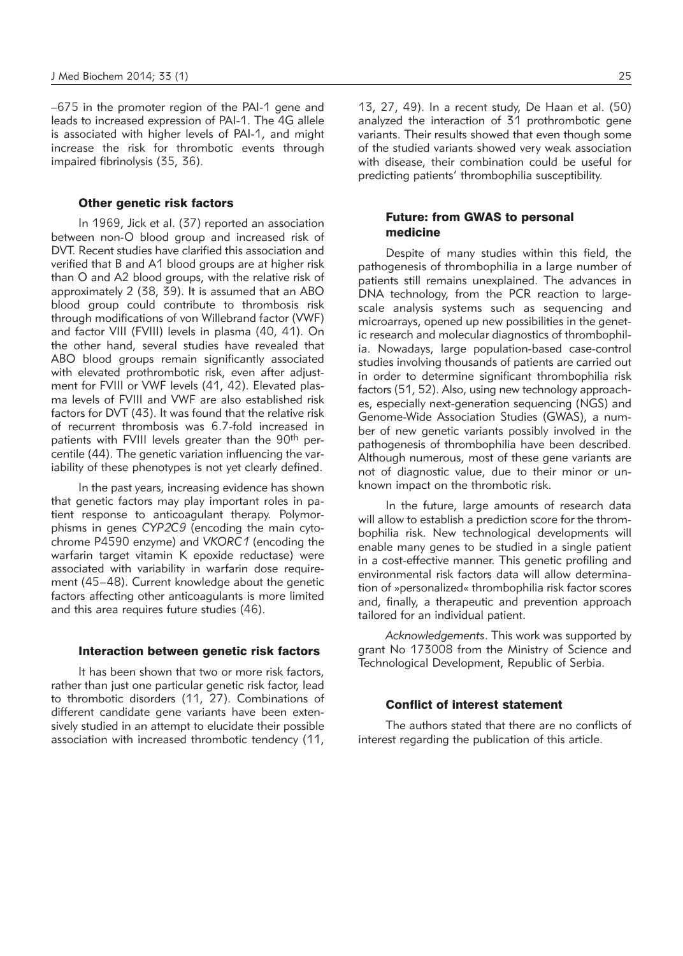–675 in the promoter region of the PAI-1 gene and leads to increased expression of PAI-1. The 4G allele is associated with higher levels of PAI-1, and might increase the risk for thrombotic events through impaired fibrinolysis (35, 36).

# Other genetic risk factors

In 1969, Jick et al. (37) reported an association between non-O blood group and increased risk of DVT. Recent studies have clarified this association and verified that B and A1 blood groups are at higher risk than O and A2 blood groups, with the relative risk of approximately 2 (38, 39). It is assumed that an ABO blood group could contribute to thrombosis risk through modifications of von Willebrand factor (VWF) and factor VIII (FVIII) levels in plasma (40, 41). On the other hand, several studies have revealed that ABO blood groups remain significantly associated with elevated prothrombotic risk, even after adjustment for FVIII or VWF levels (41, 42). Elevated plasma levels of FVIII and VWF are also established risk factors for DVT (43). It was found that the relative risk of recurrent thrombosis was 6.7-fold increased in patients with FVIII levels greater than the 90<sup>th</sup> percentile (44). The genetic variation influencing the variability of these phenotypes is not yet clearly defined.

In the past years, increasing evidence has shown that genetic factors may play important roles in patient response to anticoagulant therapy. Polymorphisms in genes CYP2C9 (encoding the main cytochrome P4590 enzyme) and *VKORC1* (encoding the warfarin target vitamin K epoxide reductase) were associated with variability in warfarin dose requirement (45–48). Current knowledge about the genetic factors affecting other anticoagulants is more limited and this area requires future studies (46).

### Interaction between genetic risk factors

It has been shown that two or more risk factors, rather than just one particular genetic risk factor, lead to thrombotic disorders (11, 27). Combinations of different candidate gene variants have been extensively studied in an attempt to elucidate their possible association with increased thrombotic tendency (11, 13, 27, 49). In a recent study, De Haan et al. (50) analyzed the interaction of 31 prothrombotic gene variants. Their results showed that even though some of the studied variants showed very weak association with disease, their combination could be useful for predicting patients' thrombophilia susceptibility.

# Future: from GWAS to personal medicine

Despite of many studies within this field, the pathogenesis of thrombophilia in a large number of patients still remains unexplained. The advances in DNA technology, from the PCR reaction to largescale analysis systems such as sequencing and microarrays, opened up new possibilities in the genetic research and molecular diagnostics of thrombophilia. Nowadays, large population-based case-control studies involving thousands of patients are carried out in order to determine significant thrombophilia risk factors (51, 52). Also, using new technology approaches, especially next-generation sequencing (NGS) and Genome-Wide Association Studies (GWAS), a number of new genetic variants possibly involved in the pathogenesis of thrombophilia have been described. Although numerous, most of these gene variants are not of diagnostic value, due to their minor or unknown impact on the thrombotic risk.

In the future, large amounts of research data will allow to establish a prediction score for the thrombophilia risk. New technological developments will enable many genes to be studied in a single patient in a cost-effective manner. This genetic profiling and environmental risk factors data will allow determination of »personalized« thrombophilia risk factor scores and, finally, a therapeutic and prevention approach tailored for an individual patient.

*Acknowledgements*. This work was supported by grant No 173008 from the Ministry of Science and Technological Development, Republic of Serbia.

### Conflict of interest statement

The authors stated that there are no conflicts of interest regarding the publication of this article.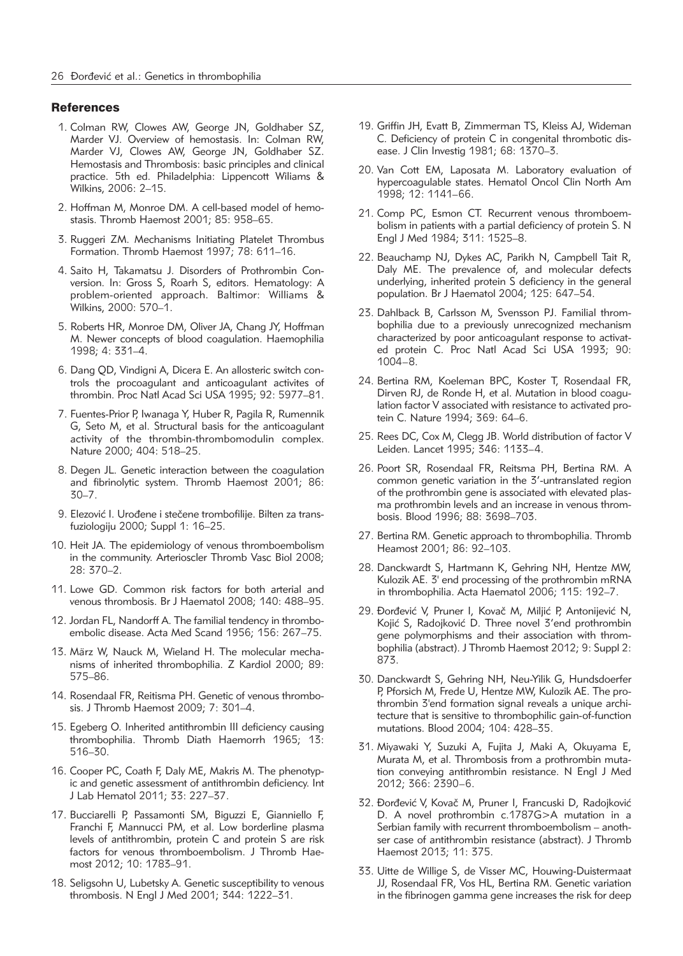#### **References**

- 1. Colman RW, Clowes AW, George JN, Goldhaber SZ, Marder VJ. Overview of hemostasis. In: Colman RW, Marder VJ, Clowes AW, George JN, Goldhaber SZ. Hemostasis and Thrombosis: basic principles and clinical practice. 5th ed. Philadelphia: Lippencott Wiliams & Wilkins, 2006: 2–15.
- 2. Hoffman M, Monroe DM. A cell-based model of hemostasis. Thromb Haemost 2001; 85: 958–65.
- 3. Ruggeri ZM. Mechanisms Initiating Platelet Thrombus Formation. Thromb Haemost 1997; 78: 611-16.
- 4. Saito H, Takamatsu J. Disorders of Prothrombin Conversion. In: Gross S, Roarh S, editors. Hematology: A problem-oriented approach. Baltimor: Williams & Wilkins, 2000: 570–1.
- 5. Roberts HR, Monroe DM, Oliver JA, Chang JY, Hoffman M. Newer concepts of blood coagulation. Haemophilia 1998; 4: 331–4.
- 6. Dang QD, Vindigni A, Dicera E. An allosteric switch controls the procoagulant and anticoagulant activites of thrombin. Proc Natl Acad Sci USA 1995; 92: 5977–81.
- 7. Fuentes-Prior P, Iwanaga Y, Huber R, Pagila R, Rumennik G, Seto M, et al. Structural basis for the anticoagulant activity of the thrombin-thrombomodulin complex. Nature 2000; 404: 518–25.
- 8. Degen JL. Genetic interaction between the coagulation and fibrinolytic system. Thromb Haemost 2001; 86: 30–7.
- 9. Elezović I. Urođene i stečene trombofilije. Bilten za transfuziologiju 2000; Suppl 1: 16–25.
- 10. Heit JA. The epidemiology of venous thromboembolism in the community. Arterioscler Thromb Vasc Biol 2008; 28: 370–2.
- 11. Lowe GD. Common risk factors for both arterial and venous thrombosis. Br J Haematol 2008; 140: 488–95.
- 12. Jordan FL, Nandorff A. The familial tendency in thromboembolic disease. Acta Med Scand 1956; 156: 267–75.
- 13. März W, Nauck M, Wieland H. The molecular mechanisms of inherited thrombophilia. Z Kardiol 2000; 89: 575–86.
- 14. Rosendaal FR, Reitisma PH. Genetic of venous thrombosis. J Thromb Haemost 2009; 7: 301–4.
- 15. Egeberg O. Inherited antithrombin III deficiency causing thrombophilia. Thromb Diath Haemorrh 1965; 13: 516–30.
- 16. Cooper PC, Coath F, Daly ME, Makris M. The phenotypic and genetic assessment of antithrombin deficiency. Int J Lab Hematol 2011; 33: 227–37.
- 17. Bucciarelli P, Passamonti SM, Biguzzi E, Gianniello F, Franchi F, Mannucci PM, et al. Low borderline plasma levels of antithrombin, protein C and protein S are risk factors for venous thromboembolism. J Thromb Haemost 2012; 10: 1783–91.
- 18. Seligsohn U, Lubetsky A. Genetic susceptibility to venous thrombosis. N Engl J Med 2001; 344: 1222–31.
- 19. Griffin JH, Evatt B, Zimmerman TS, Kleiss AJ, Wideman C. Deficiency of protein C in congenital thrombotic disease. J Clin Investig 1981; 68: 1370–3.
- 20. Van Cott EM, Laposata M. Laboratory evaluation of hypercoagulable states. Hematol Oncol Clin North Am 1998; 12: 1141–66.
- 21. Comp PC, Esmon CT. Recurrent venous thromboembolism in patients with a partial deficiency of protein S. N Engl J Med 1984; 311: 1525–8.
- 22. Beauchamp NJ, Dykes AC, Parikh N, Campbell Tait R, Daly ME. The prevalence of, and molecular defects underlying, inherited protein S deficiency in the general population. Br J Haematol 2004; 125: 647–54.
- 23. Dahlback B, Carlsson M, Svensson PJ. Familial thrombophilia due to a previously unrecognized mechanism characterized by poor anticoagulant response to activated protein C. Proc Natl Acad Sci USA 1993; 90: 1004–8.
- 24. Bertina RM, Koeleman BPC, Koster T, Rosendaal FR, Dirven RJ, de Ronde H, et al. Mutation in blood coagulation factor V associated with resistance to activated protein C. Nature 1994; 369: 64–6.
- 25. Rees DC, Cox M, Clegg JB. World distribution of factor V Leiden. Lancet 1995; 346: 1133–4.
- 26. Poort SR, Rosendaal FR, Reitsma PH, Bertina RM. A common genetic variation in the 3'-untranslated region of the prothrombin gene is associated with elevated plasma prothrombin levels and an increase in venous thrombosis. Blood 1996; 88: 3698–703.
- 27. Bertina RM. Genetic approach to thrombophilia. Thromb Heamost 2001; 86: 92–103.
- 28. Danckwardt S, Hartmann K, Gehring NH, Hentze MW, Kulozik AE. 3' end processing of the prothrombin mRNA in thrombophilia. Acta Haematol 2006; 115: 192–7.
- 29. Đorđević V, Pruner I, Kovač M, Miljić P, Antonijević N, Kojić S, Radojković D. Three novel 3'end prothrombin gene polymorphisms and their association with thrombophilia (abstract). J Thromb Haemost 2012; 9: Suppl 2: 873.
- 30. Danckwardt S, Gehring NH, Neu-Yilik G, Hundsdoerfer P, Pforsich M, Frede U, Hentze MW, Kulozik AE. The prothrombin 3'end formation signal reveals a unique architecture that is sensitive to thrombophilic gain-of-function mutations. Blood 2004; 104: 428–35.
- 31. Miyawaki Y, Suzuki A, Fujita J, Maki A, Okuyama E, Murata M, et al. Thrombosis from a prothrombin mutation conveying antithrombin resistance. N Engl J Med 2012; 366: 2390–6.
- 32. Đorđević V, Kovač M, Pruner I, Francuski D, Radojković D. A novel prothrombin c.1787G>A mutation in a Serbian family with recurrent thromboembolism - anothser case of antithrombin resistance (abstract). J Thromb Haemost 2013; 11: 375.
- 33. Uitte de Willige S, de Visser MC, Houwing-Duistermaat JJ, Rosendaal FR, Vos HL, Bertina RM. Genetic variation in the fibrinogen gamma gene increases the risk for deep